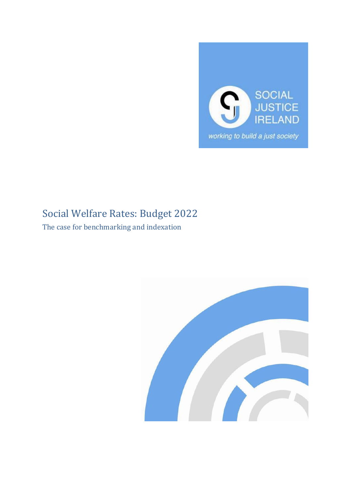

# Social Welfare Rates: Budget 2022

The case for benchmarking and indexation

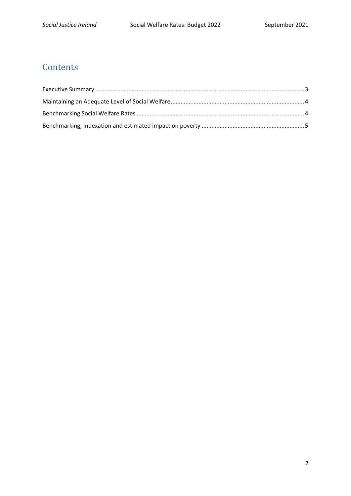# **Contents**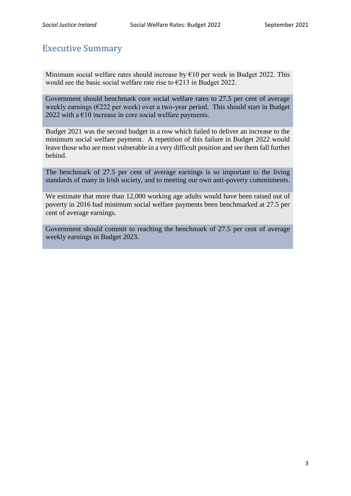#### <span id="page-2-0"></span>Executive Summary

Minimum social welfare rates should increase by  $\epsilon$ 10 per week in Budget 2022. This would see the basic social welfare rate rise to €213 in Budget 2022.

Government should benchmark core social welfare rates to 27.5 per cent of average weekly earnings (€222 per week) over a two-year period. This should start in Budget 2022 with a  $\epsilon$ 10 increase in core social welfare payments.

Budget 2021 was the second budget in a row which failed to deliver an increase to the minimum social welfare payment. A repetition of this failure in Budget 2022 would leave those who are most vulnerable in a very difficult position and see them fall further behind.

The benchmark of 27.5 per cent of average earnings is so important to the living standards of many in Irish society, and to meeting our own anti-poverty commitments.

We estimate that more than 12,000 working age adults would have been raised out of poverty in 2016 had minimum social welfare payments been benchmarked at 27.5 per cent of average earnings.

Government should commit to reaching the benchmark of 27.5 per cent of average weekly earnings in Budget 2023.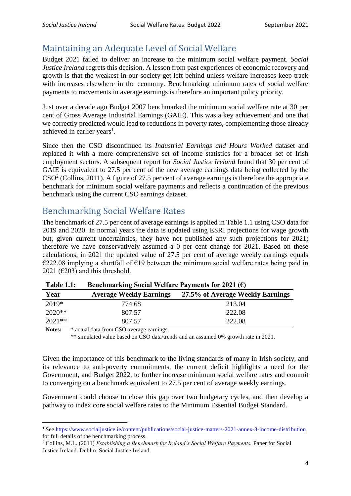## <span id="page-3-0"></span>Maintaining an Adequate Level of Social Welfare

Budget 2021 failed to deliver an increase to the minimum social welfare payment*. Social Justice Ireland* regrets this decision. A lesson from past experiences of economic recovery and growth is that the weakest in our society get left behind unless welfare increases keep track with increases elsewhere in the economy. Benchmarking minimum rates of social welfare payments to movements in average earnings is therefore an important policy priority.

Just over a decade ago Budget 2007 benchmarked the minimum social welfare rate at 30 per cent of Gross Average Industrial Earnings (GAIE). This was a key achievement and one that we correctly predicted would lead to reductions in poverty rates, complementing those already achieved in earlier years<sup>1</sup>.

Since then the CSO discontinued its *Industrial Earnings and Hours Worked* dataset and replaced it with a more comprehensive set of income statistics for a broader set of Irish employment sectors. A subsequent report for *Social Justice Ireland* found that 30 per cent of GAIE is equivalent to 27.5 per cent of the new average earnings data being collected by the  $\text{CSO}^2$  (Collins, 2011). A figure of 27.5 per cent of average earnings is therefore the appropriate benchmark for minimum social welfare payments and reflects a continuation of the previous benchmark using the current CSO earnings dataset.

## <span id="page-3-1"></span>Benchmarking Social Welfare Rates

The benchmark of 27.5 per cent of average earnings is applied in Table 1.1 using CSO data for 2019 and 2020. In normal years the data is updated using ESRI projections for wage growth but, given current uncertainties, they have not published any such projections for 2021; therefore we have conservatively assumed a 0 per cent change for 2021. Based on these calculations, in 2021 the updated value of 27.5 per cent of average weekly earnings equals  $\epsilon$ 222.08 implying a shortfall of  $\epsilon$ 19 between the minimum social welfare rates being paid in 2021 ( $\epsilon$ 203) and this threshold.

| .        | $D$ cheminal ning $D$ columnation $\mathbf{r}$ with $\mathbf{r}$ is a sequence of $\mathbf{r}$ and $\mathbf{r}$ |                                  |
|----------|-----------------------------------------------------------------------------------------------------------------|----------------------------------|
| Year     | <b>Average Weekly Earnings</b>                                                                                  | 27.5% of Average Weekly Earnings |
| 2019*    | 774.68                                                                                                          | 213.04                           |
| $2020**$ | 807.57                                                                                                          | 222.08                           |
| $2021**$ | 807.57                                                                                                          | 222.08                           |

|--|

Notes:  $*$  actual data from CSO average earnings.

1

\*\* simulated value based on CSO data/trends and an assumed 0% growth rate in 2021.

Given the importance of this benchmark to the living standards of many in Irish society, and its relevance to anti-poverty commitments, the current deficit highlights a need for the Government, and Budget 2022, to further increase minimum social welfare rates and commit to converging on a benchmark equivalent to 27.5 per cent of average weekly earnings.

Government could choose to close this gap over two budgetary cycles, and then develop a pathway to index core social welfare rates to the Minimum Essential Budget Standard.

<sup>1</sup> See<https://www.socialjustice.ie/content/publications/social-justice-matters-2021-annex-3-income-distribution> for full details of the benchmarking process.

<sup>2</sup> Collins, M.L. (2011) *Establishing a Benchmark for Ireland's Social Welfare Payments.* Paper for Social Justice Ireland. Dublin: Social Justice Ireland.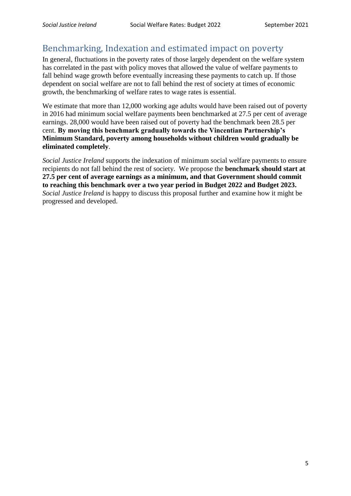### <span id="page-4-0"></span>Benchmarking, Indexation and estimated impact on poverty

In general, fluctuations in the poverty rates of those largely dependent on the welfare system has correlated in the past with policy moves that allowed the value of welfare payments to fall behind wage growth before eventually increasing these payments to catch up. If those dependent on social welfare are not to fall behind the rest of society at times of economic growth, the benchmarking of welfare rates to wage rates is essential.

We estimate that more than 12,000 working age adults would have been raised out of poverty in 2016 had minimum social welfare payments been benchmarked at 27.5 per cent of average earnings. 28,000 would have been raised out of poverty had the benchmark been 28.5 per cent. **By moving this benchmark gradually towards the Vincentian Partnership's Minimum Standard, poverty among households without children would gradually be eliminated completely**.

*Social Justice Ireland* supports the indexation of minimum social welfare payments to ensure recipients do not fall behind the rest of society. We propose the **benchmark should start at 27.5 per cent of average earnings as a minimum, and that Government should commit to reaching this benchmark over a two year period in Budget 2022 and Budget 2023.**  *Social Justice Ireland* is happy to discuss this proposal further and examine how it might be progressed and developed.